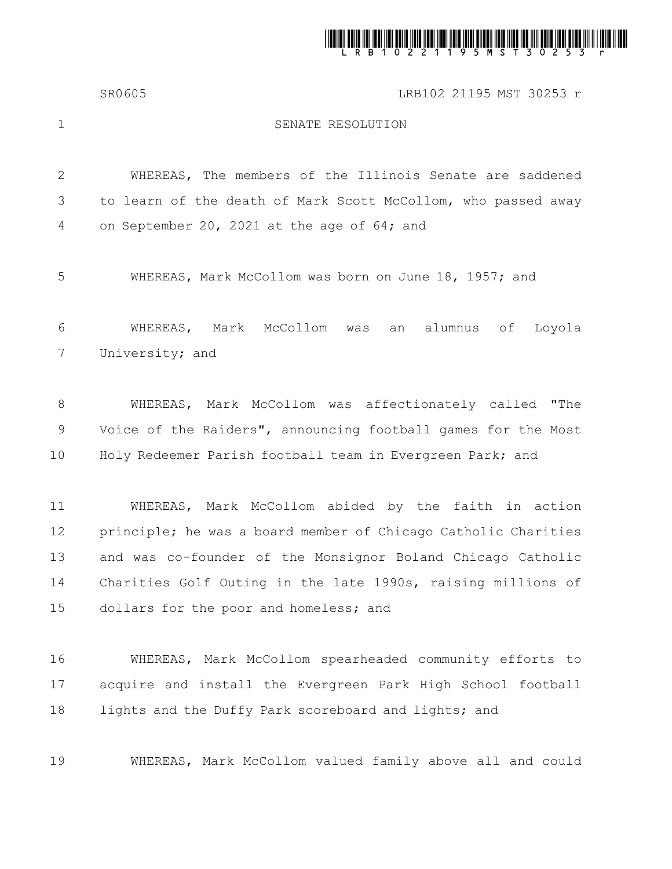

SR0605 LRB102 21195 MST 30253 r

1

## SENATE RESOLUTION

WHEREAS, The members of the Illinois Senate are saddened to learn of the death of Mark Scott McCollom, who passed away on September 20, 2021 at the age of 64; and 2 3 4

WHEREAS, Mark McCollom was born on June 18, 1957; and 5

WHEREAS, Mark McCollom was an alumnus of Loyola University; and 6 7

WHEREAS, Mark McCollom was affectionately called "The Voice of the Raiders", announcing football games for the Most Holy Redeemer Parish football team in Evergreen Park; and 8 9 10

WHEREAS, Mark McCollom abided by the faith in action principle; he was a board member of Chicago Catholic Charities and was co-founder of the Monsignor Boland Chicago Catholic Charities Golf Outing in the late 1990s, raising millions of dollars for the poor and homeless; and 11 12 13 14 15

WHEREAS, Mark McCollom spearheaded community efforts to acquire and install the Evergreen Park High School football lights and the Duffy Park scoreboard and lights; and 16 17 18

WHEREAS, Mark McCollom valued family above all and could 19